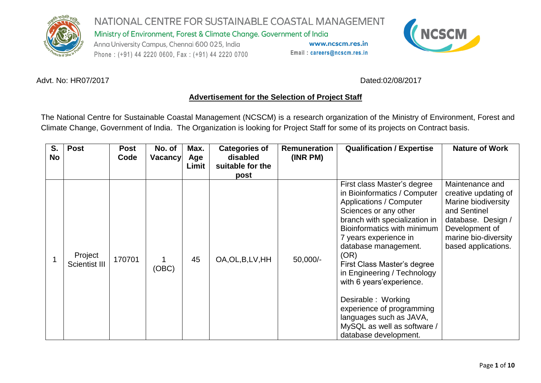

Ministry of Environment, Forest & Climate Change. Government of India

Anna University Campus, Chennai 600 025, India Phone: (+91) 44 2220 0600, Fax: (+91) 44 2220 0700

www.ncscm.res.in Email: careers@ncscm.res.in



#### Advt. No: HR07/2017 **Dated:02/08/2017**

#### **Advertisement for the Selection of Project Staff**

The National Centre for Sustainable Coastal Management (NCSCM) is a research organization of the Ministry of Environment, Forest and Climate Change, Government of India. The Organization is looking for Project Staff for some of its projects on Contract basis.

| S.<br>No | <b>Post</b>              | <b>Post</b><br>Code | No. of<br>Vacancy | Max.<br>Age<br>Limit | <b>Categories of</b><br>disabled<br>suitable for the | <b>Remuneration</b><br>(INR PM) | <b>Qualification / Expertise</b>                                                                                                                                                                                                                                                                                                                                                                                                                                         | <b>Nature of Work</b>                                                                                                                                                 |
|----------|--------------------------|---------------------|-------------------|----------------------|------------------------------------------------------|---------------------------------|--------------------------------------------------------------------------------------------------------------------------------------------------------------------------------------------------------------------------------------------------------------------------------------------------------------------------------------------------------------------------------------------------------------------------------------------------------------------------|-----------------------------------------------------------------------------------------------------------------------------------------------------------------------|
|          | Project<br>Scientist III | 170701              | (OBC)             | 45                   | post<br>OA, OL, B, LV, HH                            | 50,000/-                        | First class Master's degree<br>in Bioinformatics / Computer<br>Applications / Computer<br>Sciences or any other<br>branch with specialization in<br>Bioinformatics with minimum<br>7 years experience in<br>database management.<br>(OR)<br>First Class Master's degree<br>in Engineering / Technology<br>with 6 years'experience.<br>Desirable: Working<br>experience of programming<br>languages such as JAVA,<br>MySQL as well as software /<br>database development. | Maintenance and<br>creative updating of<br>Marine biodiversity<br>and Sentinel<br>database. Design /<br>Development of<br>marine bio-diversity<br>based applications. |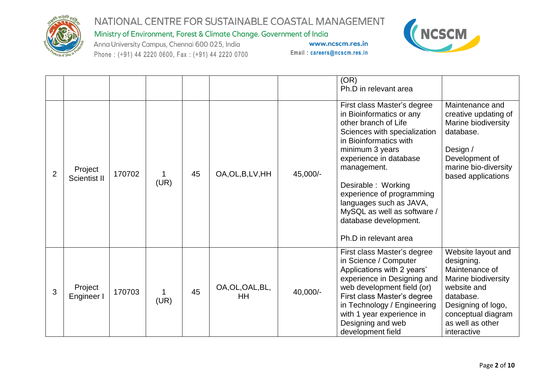

Ministry of Environment, Forest & Climate Change. Government of India

Anna University Campus, Chennai 600 025, India Phone: (+91) 44 2220 0600, Fax: (+91) 44 2220 0700



|                |                         |        |      |    |                               |          | (OR)<br>Ph.D in relevant area                                                                                                                                                                                                                                                                                                                                        |                                                                                                                                                                                      |
|----------------|-------------------------|--------|------|----|-------------------------------|----------|----------------------------------------------------------------------------------------------------------------------------------------------------------------------------------------------------------------------------------------------------------------------------------------------------------------------------------------------------------------------|--------------------------------------------------------------------------------------------------------------------------------------------------------------------------------------|
| $\overline{2}$ | Project<br>Scientist II | 170702 | (UR) | 45 | OA, OL, B, LV, HH             | 45,000/- | First class Master's degree<br>in Bioinformatics or any<br>other branch of Life<br>Sciences with specialization<br>in Bioinformatics with<br>minimum 3 years<br>experience in database<br>management.<br>Desirable: Working<br>experience of programming<br>languages such as JAVA,<br>MySQL as well as software /<br>database development.<br>Ph.D in relevant area | Maintenance and<br>creative updating of<br>Marine biodiversity<br>database.<br>Design /<br>Development of<br>marine bio-diversity<br>based applications                              |
| 3              | Project<br>Engineer I   | 170703 | (UR) | 45 | OA, OL, OAL, BL,<br><b>HH</b> | 40,000/- | First class Master's degree<br>in Science / Computer<br>Applications with 2 years'<br>experience in Designing and<br>web development field (or)<br>First class Master's degree<br>in Technology / Engineering<br>with 1 year experience in<br>Designing and web<br>development field                                                                                 | Website layout and<br>designing.<br>Maintenance of<br>Marine biodiversity<br>website and<br>database.<br>Designing of logo,<br>conceptual diagram<br>as well as other<br>interactive |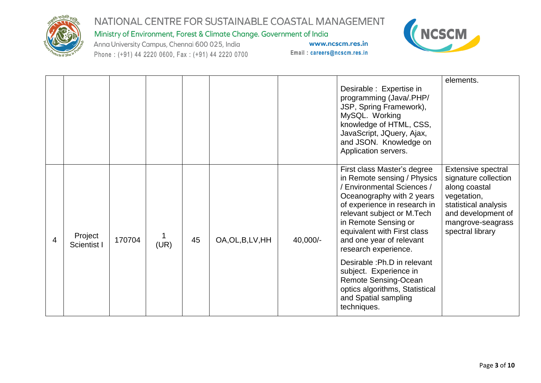

Ministry of Environment, Forest & Climate Change. Government of India

Anna University Campus, Chennai 600 025, India Phone: (+91) 44 2220 0600, Fax: (+91) 44 2220 0700



| First class Master's degree<br>in Remote sensing / Physics<br>/ Environmental Sciences /<br>along coastal<br>Oceanography with 2 years<br>vegetation,<br>of experience in research in<br>relevant subject or M.Tech<br>in Remote Sensing or<br>equivalent with First class<br>spectral library<br>Project<br>45<br>170704<br>OA, OL, B, LV, HH<br>40,000/-<br>and one year of relevant<br>4<br>(UR)<br><b>Scientist I</b><br>research experience.<br>Desirable : Ph.D in relevant<br>subject. Experience in |  |  |  | Desirable: Expertise in<br>programming (Java/.PHP/<br>JSP, Spring Framework),<br>MySQL. Working<br>knowledge of HTML, CSS,<br>JavaScript, JQuery, Ajax,<br>and JSON. Knowledge on<br>Application servers. | elements.                                                                                                            |
|-------------------------------------------------------------------------------------------------------------------------------------------------------------------------------------------------------------------------------------------------------------------------------------------------------------------------------------------------------------------------------------------------------------------------------------------------------------------------------------------------------------|--|--|--|-----------------------------------------------------------------------------------------------------------------------------------------------------------------------------------------------------------|----------------------------------------------------------------------------------------------------------------------|
| Remote Sensing-Ocean<br>optics algorithms, Statistical                                                                                                                                                                                                                                                                                                                                                                                                                                                      |  |  |  |                                                                                                                                                                                                           | <b>Extensive spectral</b><br>signature collection<br>statistical analysis<br>and development of<br>mangrove-seagrass |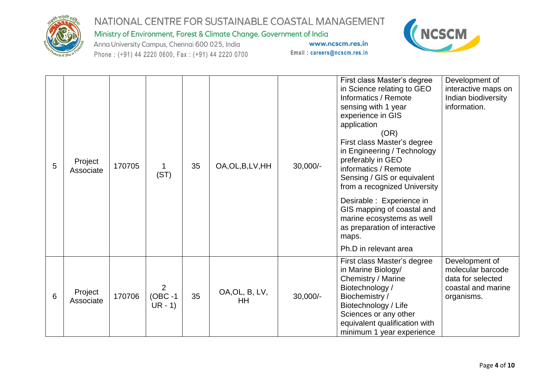

Ministry of Environment, Forest & Climate Change. Government of India

Anna University Campus, Chennai 600 025, India Phone: (+91) 44 2220 0600, Fax: (+91) 44 2220 0700



| 5 | Project<br>Associate | 170705 | (ST)                                 | 35 | OA, OL, B, LV, HH    | $30,000/-$ | First class Master's degree<br>in Science relating to GEO<br>Informatics / Remote<br>sensing with 1 year<br>experience in GIS<br>application<br>(OR)<br>First class Master's degree<br>in Engineering / Technology<br>preferably in GEO<br>informatics / Remote<br>Sensing / GIS or equivalent<br>from a recognized University<br>Desirable : Experience in<br>GIS mapping of coastal and<br>marine ecosystems as well<br>as preparation of interactive<br>maps.<br>Ph.D in relevant area | Development of<br>interactive maps on<br>Indian biodiversity<br>information.                 |
|---|----------------------|--------|--------------------------------------|----|----------------------|------------|-------------------------------------------------------------------------------------------------------------------------------------------------------------------------------------------------------------------------------------------------------------------------------------------------------------------------------------------------------------------------------------------------------------------------------------------------------------------------------------------|----------------------------------------------------------------------------------------------|
| 6 | Project<br>Associate | 170706 | $\overline{2}$<br>(OBC-1<br>$UR - 1$ | 35 | OA, OL, B, LV,<br>HH | $30,000/-$ | First class Master's degree<br>in Marine Biology/<br>Chemistry / Marine<br>Biotechnology /<br>Biochemistry /<br>Biotechnology / Life<br>Sciences or any other<br>equivalent qualification with<br>minimum 1 year experience                                                                                                                                                                                                                                                               | Development of<br>molecular barcode<br>data for selected<br>coastal and marine<br>organisms. |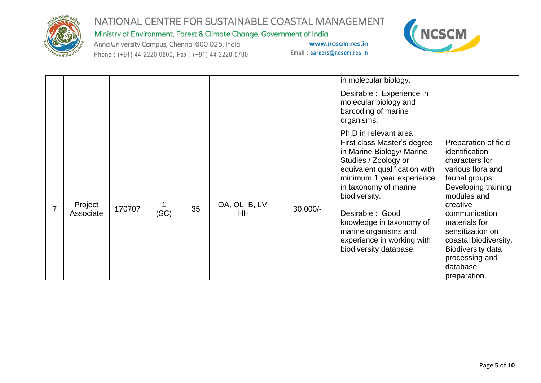

Ministry of Environment, Forest & Climate Change. Government of India

Anna University Campus, Chennai 600 025, India Phone: (+91) 44 2220 0600, Fax: (+91) 44 2220 0700



|                      |        |      |    |                      |            | in molecular biology.<br>Desirable : Experience in<br>molecular biology and<br>barcoding of marine<br>organisms.                                                                                                                                                                                                                                 |                                                                                                                                                                                                                                                                                                            |
|----------------------|--------|------|----|----------------------|------------|--------------------------------------------------------------------------------------------------------------------------------------------------------------------------------------------------------------------------------------------------------------------------------------------------------------------------------------------------|------------------------------------------------------------------------------------------------------------------------------------------------------------------------------------------------------------------------------------------------------------------------------------------------------------|
| Project<br>Associate | 170707 | (SC) | 35 | OA, OL, B, LV,<br>ΗH | $30,000/-$ | Ph.D in relevant area<br>First class Master's degree<br>in Marine Biology/ Marine<br>Studies / Zoology or<br>equivalent qualification with<br>minimum 1 year experience<br>in taxonomy of marine<br>biodiversity.<br>Desirable: Good<br>knowledge in taxonomy of<br>marine organisms and<br>experience in working with<br>biodiversity database. | Preparation of field<br>identification<br>characters for<br>various flora and<br>faunal groups.<br>Developing training<br>modules and<br>creative<br>communication<br>materials for<br>sensitization on<br>coastal biodiversity.<br><b>Biodiversity data</b><br>processing and<br>database<br>preparation. |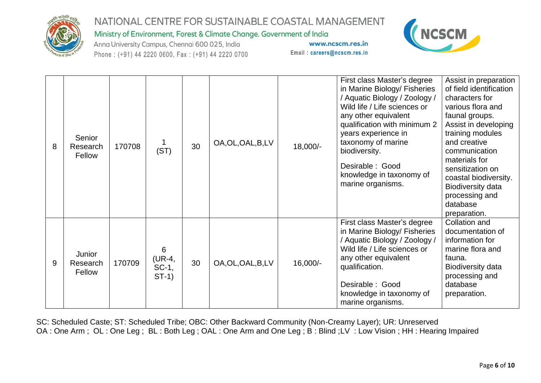

Ministry of Environment, Forest & Climate Change. Government of India

Anna University Campus, Chennai 600 025, India Phone: (+91) 44 2220 0600, Fax: (+91) 44 2220 0700

www.ncscm.res.in Email: careers@ncscm.res.in



| 8 | Senior<br>Research<br>Fellow | 170708 | (ST)                               | 30 | OA, OL, OAL, B, LV | 18,000/- | First class Master's degree<br>in Marine Biology/ Fisheries<br>/ Aquatic Biology / Zoology /<br>Wild life / Life sciences or<br>any other equivalent<br>qualification with minimum 2<br>years experience in<br>taxonomy of marine<br>biodiversity.<br>Desirable: Good<br>knowledge in taxonomy of<br>marine organisms. | Assist in preparation<br>of field identification<br>characters for<br>various flora and<br>faunal groups.<br>Assist in developing<br>training modules<br>and creative<br>communication<br>materials for<br>sensitization on<br>coastal biodiversity.<br><b>Biodiversity data</b><br>processing and<br>database<br>preparation. |
|---|------------------------------|--------|------------------------------------|----|--------------------|----------|------------------------------------------------------------------------------------------------------------------------------------------------------------------------------------------------------------------------------------------------------------------------------------------------------------------------|--------------------------------------------------------------------------------------------------------------------------------------------------------------------------------------------------------------------------------------------------------------------------------------------------------------------------------|
| 9 | Junior<br>Research<br>Fellow | 170709 | 6<br>(UR-4,<br>$SC-1$ ,<br>$ST-1)$ | 30 | OA, OL, OAL, B, LV | 16,000/- | First class Master's degree<br>in Marine Biology/ Fisheries<br>/ Aquatic Biology / Zoology /<br>Wild life / Life sciences or<br>any other equivalent<br>qualification.<br>Desirable: Good<br>knowledge in taxonomy of<br>marine organisms.                                                                             | Collation and<br>documentation of<br>information for<br>marine flora and<br>fauna.<br><b>Biodiversity data</b><br>processing and<br>database<br>preparation.                                                                                                                                                                   |

SC: Scheduled Caste; ST: Scheduled Tribe; OBC: Other Backward Community (Non-Creamy Layer); UR: Unreserved OA : One Arm ; OL : One Leg ; BL : Both Leg ; OAL : One Arm and One Leg ; B : Blind ;LV : Low Vision ; HH : Hearing Impaired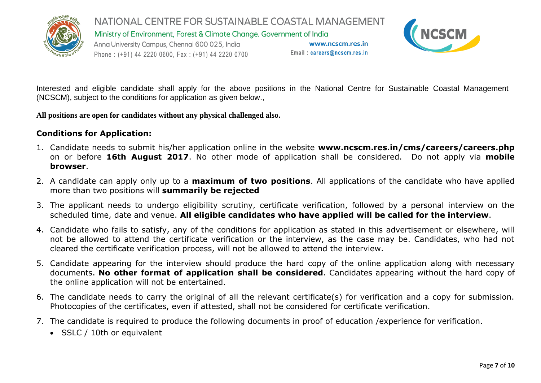

NATIONAL CENTRE FOR SUSTAINABLE COASTAL MANAGEMENT Ministry of Environment, Forest & Climate Change. Government of India Anna University Campus, Chennai 600 025, India www.ncscm.res.in Email: careers@ncscm.res.in Phone: (+91) 44 2220 0600, Fax: (+91) 44 2220 0700



Interested and eligible candidate shall apply for the above positions in the National Centre for Sustainable Coastal Management (NCSCM), subject to the conditions for application as given below.,

**All positions are open for candidates without any physical challenged also.**

#### **Conditions for Application:**

- 1. Candidate needs to submit his/her application online in the website **www.ncscm.res.in/cms/careers/careers.php**  on or before **16th August 2017**. No other mode of application shall be considered. Do not apply via **mobile browser**.
- 2. A candidate can apply only up to a **maximum of two positions**. All applications of the candidate who have applied more than two positions will **summarily be rejected**
- 3. The applicant needs to undergo eligibility scrutiny, certificate verification, followed by a personal interview on the scheduled time, date and venue. **All eligible candidates who have applied will be called for the interview**.
- 4. Candidate who fails to satisfy, any of the conditions for application as stated in this advertisement or elsewhere, will not be allowed to attend the certificate verification or the interview, as the case may be. Candidates, who had not cleared the certificate verification process, will not be allowed to attend the interview.
- 5. Candidate appearing for the interview should produce the hard copy of the online application along with necessary documents. **No other format of application shall be considered**. Candidates appearing without the hard copy of the online application will not be entertained.
- 6. The candidate needs to carry the original of all the relevant certificate(s) for verification and a copy for submission. Photocopies of the certificates, even if attested, shall not be considered for certificate verification.
- 7. The candidate is required to produce the following documents in proof of education /experience for verification.
	- SSLC / 10th or equivalent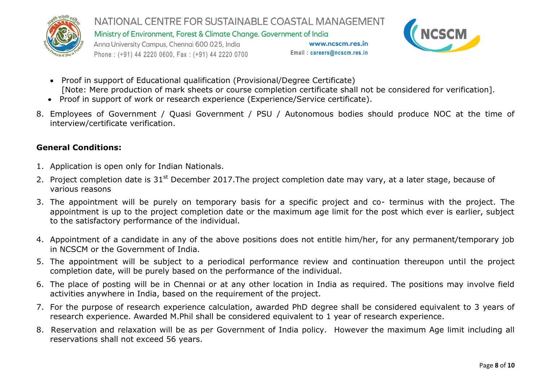

NATIONAL CENTRE FOR SUSTAINABLE COASTAL MANAGEMENT Ministry of Environment, Forest & Climate Change. Government of India Anna University Campus, Chennai 600 025, India www.ncscm.res.in Email: careers@ncscm.res.in Phone: (+91) 44 2220 0600, Fax: (+91) 44 2220 0700



- Proof in support of Educational qualification (Provisional/Degree Certificate) [Note: Mere production of mark sheets or course completion certificate shall not be considered for verification].
- Proof in support of work or research experience (Experience/Service certificate).
- 8. Employees of Government / Quasi Government / PSU / Autonomous bodies should produce NOC at the time of interview/certificate verification.

### **General Conditions:**

- 1. Application is open only for Indian Nationals.
- 2. Project completion date is 31<sup>st</sup> December 2017. The project completion date may vary, at a later stage, because of various reasons
- 3. The appointment will be purely on temporary basis for a specific project and co- terminus with the project. The appointment is up to the project completion date or the maximum age limit for the post which ever is earlier, subject to the satisfactory performance of the individual.
- 4. Appointment of a candidate in any of the above positions does not entitle him/her, for any permanent/temporary job in NCSCM or the Government of India.
- 5. The appointment will be subject to a periodical performance review and continuation thereupon until the project completion date, will be purely based on the performance of the individual.
- 6. The place of posting will be in Chennai or at any other location in India as required. The positions may involve field activities anywhere in India, based on the requirement of the project.
- 7. For the purpose of research experience calculation, awarded PhD degree shall be considered equivalent to 3 years of research experience. Awarded M.Phil shall be considered equivalent to 1 year of research experience.
- 8. Reservation and relaxation will be as per Government of India policy. However the maximum Age limit including all reservations shall not exceed 56 years.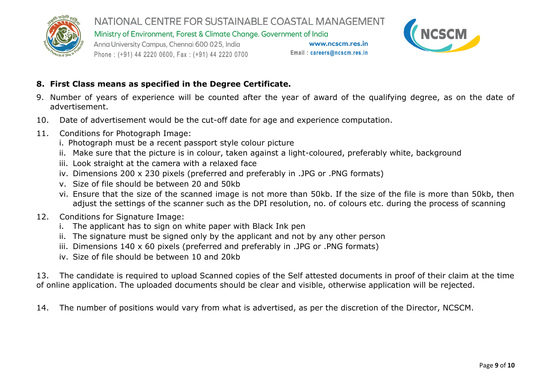

Ministry of Environment, Forest & Climate Change. Government of India

Anna University Campus, Chennai 600 025, India Phone: (+91) 44 2220 0600, Fax: (+91) 44 2220 0700





### **8. First Class means as specified in the Degree Certificate.**

- 9. Number of years of experience will be counted after the year of award of the qualifying degree, as on the date of advertisement.
- 10. Date of advertisement would be the cut-off date for age and experience computation.
- 11. Conditions for Photograph Image:
	- i. Photograph must be a recent passport style colour picture
	- ii. Make sure that the picture is in colour, taken against a light-coloured, preferably white, background
	- iii. Look straight at the camera with a relaxed face
	- iv. Dimensions 200 x 230 pixels (preferred and preferably in .JPG or .PNG formats)
	- v. Size of file should be between 20 and 50kb
	- vi. Ensure that the size of the scanned image is not more than 50kb. If the size of the file is more than 50kb, then adjust the settings of the scanner such as the DPI resolution, no. of colours etc. during the process of scanning
- 12. Conditions for Signature Image:
	- i. The applicant has to sign on white paper with Black Ink pen
	- ii. The signature must be signed only by the applicant and not by any other person
	- iii. Dimensions 140 x 60 pixels (preferred and preferably in .JPG or .PNG formats)
	- iv. Size of file should be between 10 and 20kb

13. The candidate is required to upload Scanned copies of the Self attested documents in proof of their claim at the time of online application. The uploaded documents should be clear and visible, otherwise application will be rejected.

14. The number of positions would vary from what is advertised, as per the discretion of the Director, NCSCM.